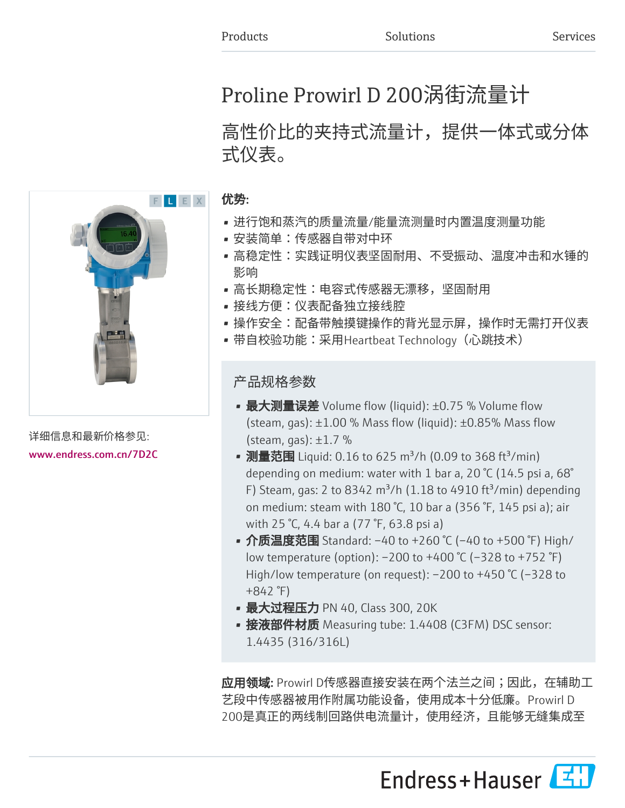# Proline Prowirl D 200涡街流量计

# 高性价比的夹持式流量计,提供一体式或分体 式仪表。



- 进行饱和蒸汽的质量流量/能量流测量时内置温度测量功能
- 安装简单:传感器自带对中环
- 高稳定性:实践证明仪表坚固耐用、不受振动、温度冲击和水锤的 影响
- 高长期稳定性:电容式传感器无漂移,坚固耐用
- 接线方便:仪表配备独立接线腔
- 操作安全:配备带触摸键操作的背光显示屏,操作时无需打开仪表
- 带自校验功能:采用Heartbeat Technology(心跳技术)

产品规格参数

- 最大测量误差 Volume flow (liquid): ±0.75 % Volume flow (steam, gas):  $\pm 1.00$  % Mass flow (liquid):  $\pm 0.85$ % Mass flow (steam, gas):  $\pm 1.7$  %
- 测量范围 Liquid: 0.16 to 625 m<sup>3</sup>/h (0.09 to 368 ft<sup>3</sup>/min) depending on medium: water with 1 bar a, 20 °C (14.5 psi a, 68° F) Steam, gas: 2 to 8342 m<sup>3</sup>/h (1.18 to 4910 ft<sup>3</sup>/min) depending on medium: steam with 180 °C, 10 bar a (356 °F, 145 psi a); air with 25 °C, 4.4 bar a (77 °F, 63.8 psi a)
- 介质温度范围 Standard: -40 to +260 °C (-40 to +500 °F) High/ low temperature (option): –200 to +400 °C (–328 to +752 °F) High/low temperature (on request): –200 to +450 °C (–328 to +842 °F)
- 最大过程压力 PN 40, Class 300, 20K
- 接液部件材质 Measuring tube: 1.4408 (C3FM) DSC sensor: 1.4435 (316/316L)

应用领域: Prowirl D传感器直接安装在两个法兰之间;因此,在辅助工 艺段中传感器被用作附属功能设备,使用成本十分低廉。Prowirl D 200是真正的两线制回路供电流量计,使用经济,且能够无缝集成至





详细信息和最新价格参见: [www.endress.com.cn/7D2C](https://www.endress.com.cn/7D2C)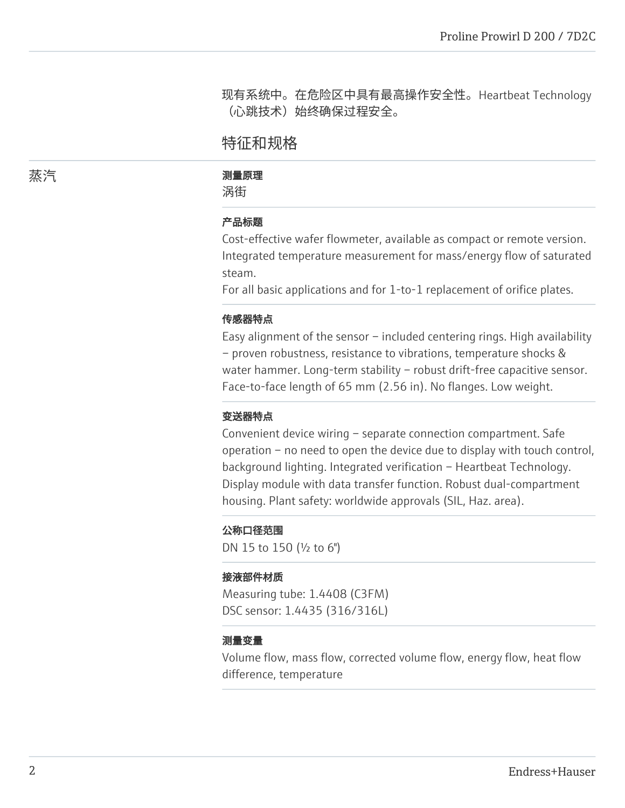现有系统中。在危险区中具有最高操作安全性。Heartbeat Technology (心跳技术)始终确保过程安全。

# 特征和规格

#### 蒸汽 しゅうしゃ かいしゃ 測量原理

涡街

# 产品标题

Cost-effective wafer flowmeter, available as compact or remote version. Integrated temperature measurement for mass/energy flow of saturated steam.

For all basic applications and for 1-to-1 replacement of orifice plates.

## 传感器特点

Easy alignment of the sensor – included centering rings. High availability – proven robustness, resistance to vibrations, temperature shocks & water hammer. Long-term stability - robust drift-free capacitive sensor. Face-to-face length of 65 mm (2.56 in). No flanges. Low weight.

#### 变送器特点

Convenient device wiring – separate connection compartment. Safe operation – no need to open the device due to display with touch control, background lighting. Integrated verification – Heartbeat Technology. Display module with data transfer function. Robust dual-compartment housing. Plant safety: worldwide approvals (SIL, Haz. area).

#### 公称口径范围

DN 15 to 150 (½ to 6")

#### 接液部件材质

Measuring tube: 1.4408 (C3FM) DSC sensor: 1.4435 (316/316L)

#### 测量变量

Volume flow, mass flow, corrected volume flow, energy flow, heat flow difference, temperature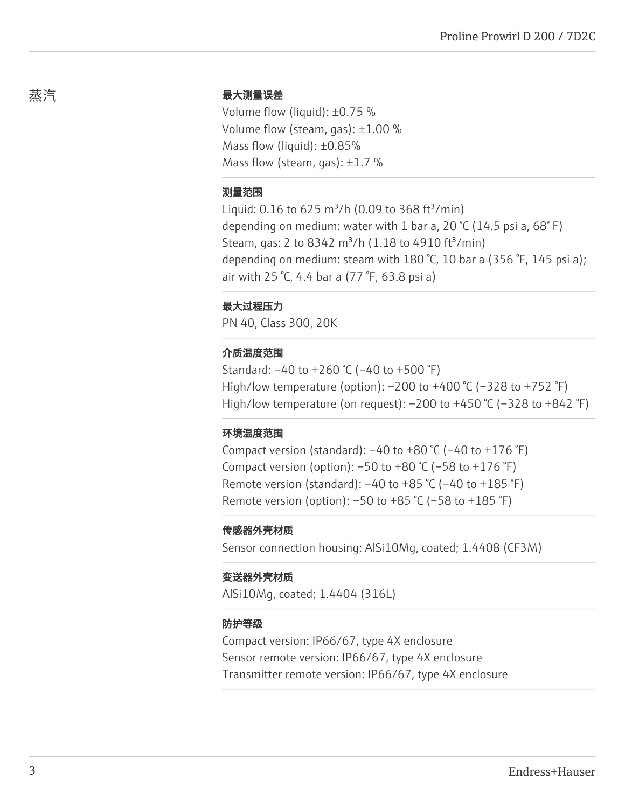# 最大测量误差

Volume flow (liquid): ±0.75 % Volume flow (steam, gas): ±1.00 % Mass flow (liquid): ±0.85% Mass flow (steam, gas):  $\pm 1.7$  %

#### 测量范围

Liquid: 0.16 to 625 m<sup>3</sup>/h (0.09 to 368 ft<sup>3</sup>/min) depending on medium: water with 1 bar a, 20 °C (14.5 psi a, 68° F) Steam, gas: 2 to 8342 m<sup>3</sup>/h (1.18 to 4910 ft<sup>3</sup>/min) depending on medium: steam with 180 °C, 10 bar a (356 °F, 145 psi a); air with 25 °C, 4.4 bar a (77 °F, 63.8 psi a)

#### 最大过程压力

PN 40, Class 300, 20K

## 介质温度范围

Standard: –40 to +260 °C (–40 to +500 °F) High/low temperature (option): –200 to +400 °C (–328 to +752 °F) High/low temperature (on request):  $-200$  to  $+450$  °C ( $-328$  to  $+842$  °F)

#### 环境温度范围

Compact version (standard):  $-40$  to  $+80$  °C ( $-40$  to  $+176$  °F) Compact version (option):  $-50$  to  $+80$  °C ( $-58$  to  $+176$  °F) Remote version (standard):  $-40$  to  $+85$  °C ( $-40$  to  $+185$  °F) Remote version (option): –50 to +85 °C (–58 to +185 °F)

#### 传感器外壳材质

Sensor connection housing: AlSi10Mg, coated; 1.4408 (CF3M)

#### 变送器外壳材质

AlSi10Mg, coated; 1.4404 (316L)

#### 防护等级

Compact version: IP66/67, type 4X enclosure Sensor remote version: IP66/67, type 4X enclosure Transmitter remote version: IP66/67, type 4X enclosure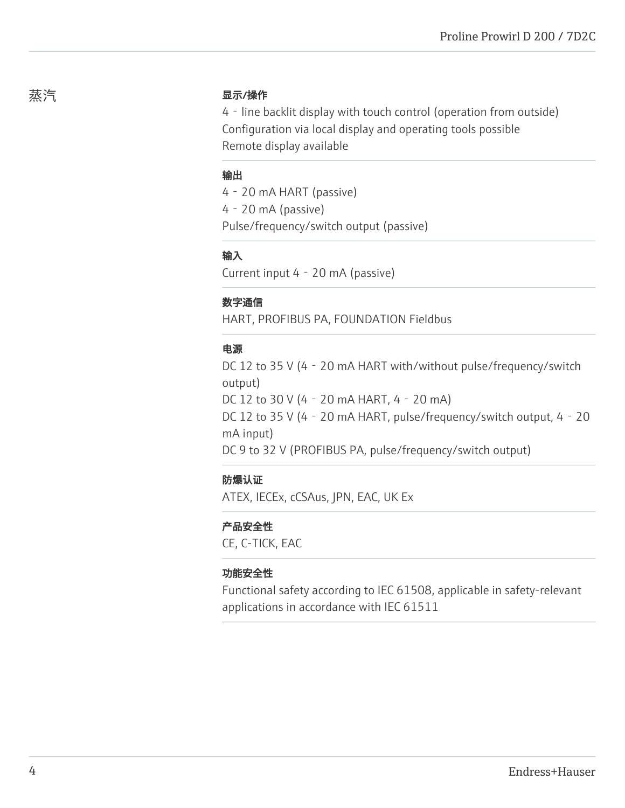# 显示/操作

4‐line backlit display with touch control (operation from outside) Configuration via local display and operating tools possible Remote display available

## 输出

4‐20 mA HART (passive) 4‐20 mA (passive) Pulse/frequency/switch output (passive)

# 输入

Current input 4‐20 mA (passive)

# 数字通信

HART, PROFIBUS PA, FOUNDATION Fieldbus

# 电源

DC 12 to 35 V (4 - 20 mA HART with/without pulse/frequency/switch output) DC 12 to 30 V (4‐20 mA HART, 4‐20 mA) DC 12 to 35 V (4 - 20 mA HART, pulse/frequency/switch output, 4 - 20 mA input) DC 9 to 32 V (PROFIBUS PA, pulse/frequency/switch output)

# 防爆认证

ATEX, IECEx, cCSAus, JPN, EAC, UK Ex

# 产品安全性

CE, C-TICK, EAC

## 功能安全性

Functional safety according to IEC 61508, applicable in safety-relevant applications in accordance with IEC 61511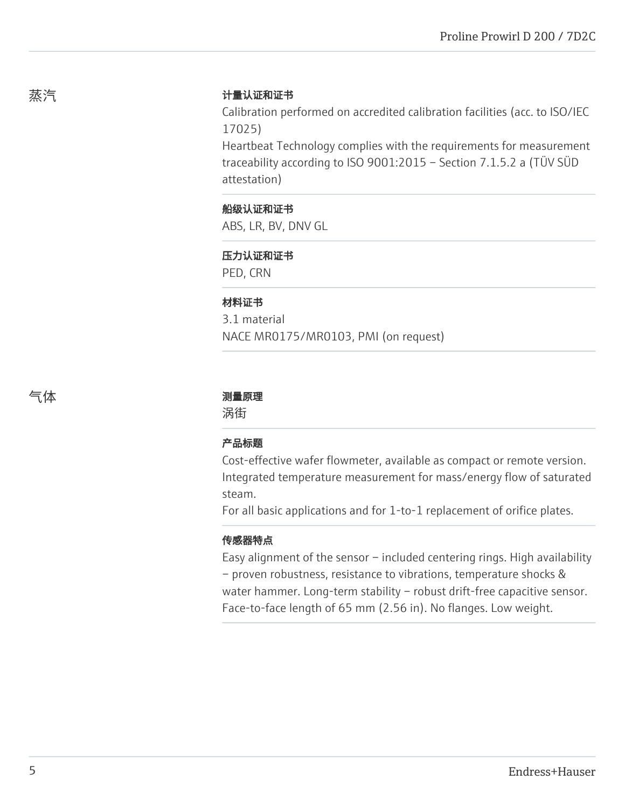# 计量认证和证书

Calibration performed on accredited calibration facilities (acc. to ISO/IEC 17025)

Heartbeat Technology complies with the requirements for measurement traceability according to ISO 9001:2015 – Section 7.1.5.2 a (TÜV SÜD attestation)

# 船级认证和证书

ABS, LR, BV, DNV GL

## 压力认证和证书

PED, CRN

## 材料证书

3.1 material NACE MR0175/MR0103, PMI (on request)

## 气体 测量原理

涡街

## 产品标题

Cost-effective wafer flowmeter, available as compact or remote version. Integrated temperature measurement for mass/energy flow of saturated steam.

For all basic applications and for 1-to-1 replacement of orifice plates.

## 传感器特点

Easy alignment of the sensor – included centering rings. High availability – proven robustness, resistance to vibrations, temperature shocks & water hammer. Long-term stability - robust drift-free capacitive sensor. Face-to-face length of 65 mm (2.56 in). No flanges. Low weight.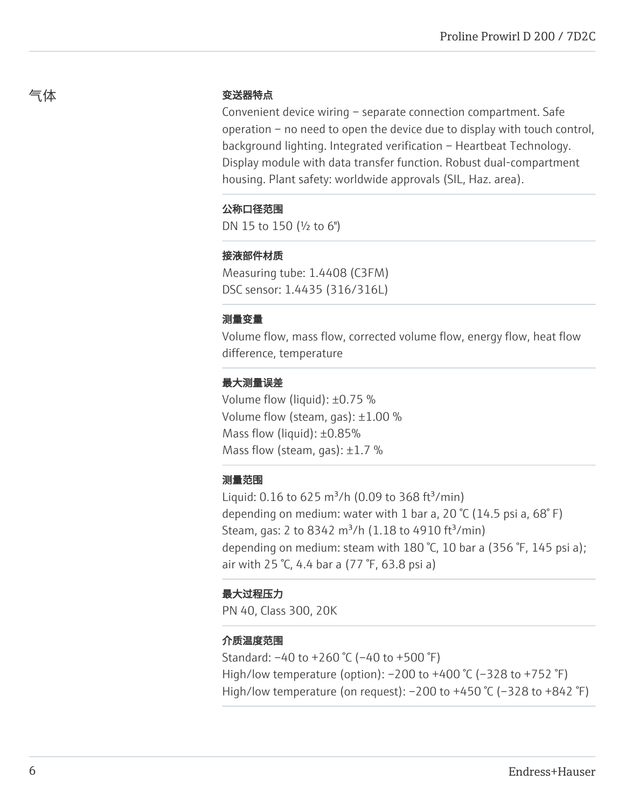# 变送器特点

Convenient device wiring – separate connection compartment. Safe operation – no need to open the device due to display with touch control, background lighting. Integrated verification – Heartbeat Technology. Display module with data transfer function. Robust dual-compartment housing. Plant safety: worldwide approvals (SIL, Haz. area).

# 公称口径范围

DN 15 to 150 (½ to 6")

# 接液部件材质

Measuring tube: 1.4408 (C3FM) DSC sensor: 1.4435 (316/316L)

# 测量变量

Volume flow, mass flow, corrected volume flow, energy flow, heat flow difference, temperature

# 最大测量误差

Volume flow (liquid): ±0.75 % Volume flow (steam, gas): ±1.00 % Mass flow (liquid): ±0.85% Mass flow (steam, gas):  $\pm 1.7$  %

# 测量范围

Liquid: 0.16 to 625 m<sup>3</sup>/h (0.09 to 368 ft<sup>3</sup>/min) depending on medium: water with 1 bar a, 20  $\degree$ C (14.5 psi a, 68 $\degree$ F) Steam, gas: 2 to 8342 m<sup>3</sup>/h (1.18 to 4910 ft<sup>3</sup>/min) depending on medium: steam with 180 °C, 10 bar a (356 °F, 145 psi a); air with 25 °C, 4.4 bar a (77 °F, 63.8 psi a)

# 最大过程压力

PN 40, Class 300, 20K

# 介质温度范围

Standard: –40 to +260 °C (–40 to +500 °F) High/low temperature (option): –200 to +400 °C (–328 to +752 °F) High/low temperature (on request):  $-200$  to  $+450$  °C ( $-328$  to  $+842$  °F)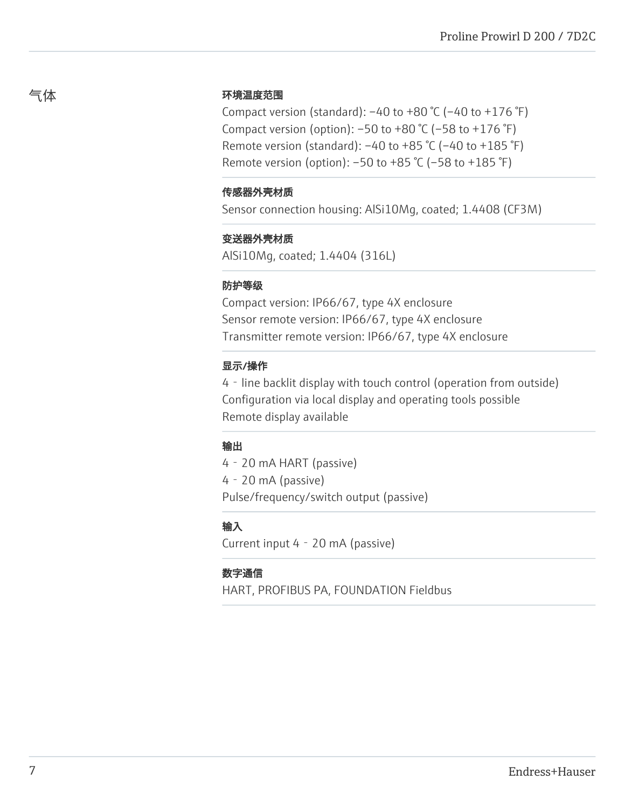# 环境温度范围

Compact version (standard):  $-40$  to  $+80$  °C ( $-40$  to  $+176$  °F) Compact version (option): –50 to +80 °C (–58 to +176 °F) Remote version (standard): –40 to +85 °C (–40 to +185 °F) Remote version (option): –50 to +85 °C (–58 to +185 °F)

## 传感器外壳材质

Sensor connection housing: AlSi10Mg, coated; 1.4408 (CF3M)

## 变送器外壳材质

AlSi10Mg, coated; 1.4404 (316L)

## 防护等级

Compact version: IP66/67, type 4X enclosure Sensor remote version: IP66/67, type 4X enclosure Transmitter remote version: IP66/67, type 4X enclosure

## 显示/操作

4‐line backlit display with touch control (operation from outside) Configuration via local display and operating tools possible Remote display available

## 输出

4‐20 mA HART (passive) 4‐20 mA (passive) Pulse/frequency/switch output (passive)

# 输入

Current input 4‐20 mA (passive)

## 数字通信

HART, PROFIBUS PA, FOUNDATION Fieldbus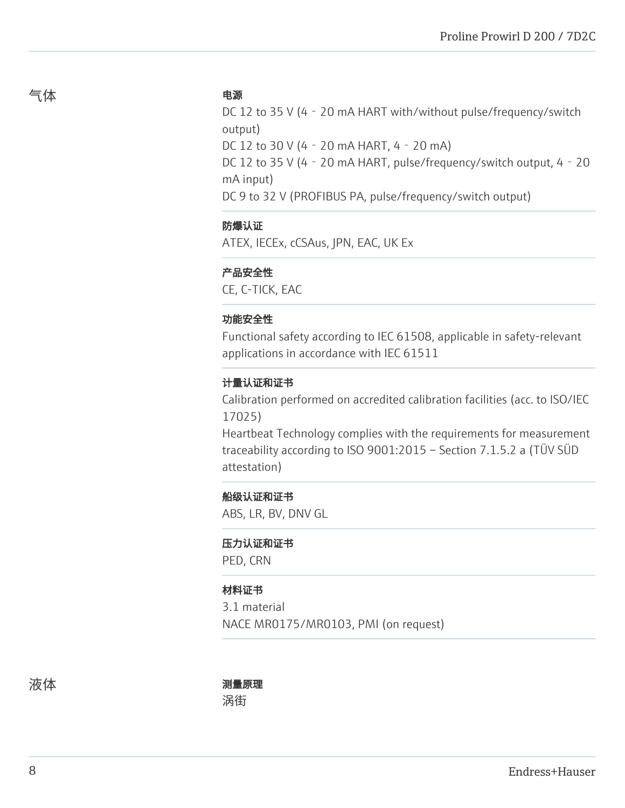## 电源

DC 12 to 35 V (4 - 20 mA HART with/without pulse/frequency/switch output)

DC 12 to 30 V (4‐20 mA HART, 4‐20 mA)

DC 12 to 35 V (4 - 20 mA HART, pulse/frequency/switch output, 4 - 20 mA input)

DC 9 to 32 V (PROFIBUS PA, pulse/frequency/switch output)

# 防爆认证

ATEX, IECEx, cCSAus, JPN, EAC, UK Ex

## 产品安全性

CE, C-TICK, EAC

## 功能安全性

Functional safety according to IEC 61508, applicable in safety-relevant applications in accordance with IEC 61511

## 计量认证和证书

Calibration performed on accredited calibration facilities (acc. to ISO/IEC 17025)

Heartbeat Technology complies with the requirements for measurement traceability according to ISO 9001:2015 – Section 7.1.5.2 a (TÜV SÜD attestation)

## 船级认证和证书

ABS, LR, BV, DNV GL

#### 压力认证和证书

PED, CRN

#### 材料证书

3.1 material NACE MR0175/MR0103, PMI (on request)

# 液体 测量原理

涡街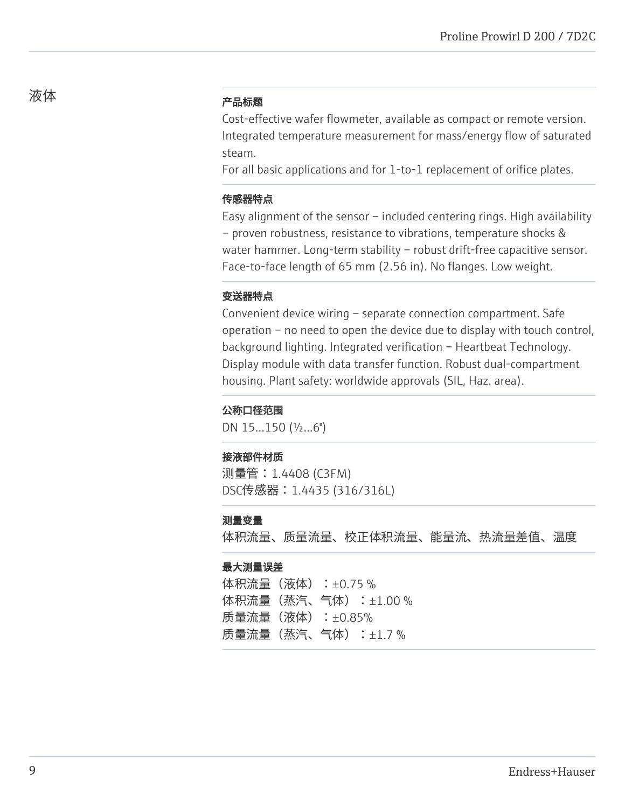# 产品标题

Cost-effective wafer flowmeter, available as compact or remote version. Integrated temperature measurement for mass/energy flow of saturated steam.

For all basic applications and for 1-to-1 replacement of orifice plates.

## 传感器特点

Easy alignment of the sensor – included centering rings. High availability – proven robustness, resistance to vibrations, temperature shocks & water hammer. Long-term stability - robust drift-free capacitive sensor. Face-to-face length of 65 mm (2.56 in). No flanges. Low weight.

## 变送器特点

Convenient device wiring – separate connection compartment. Safe operation – no need to open the device due to display with touch control, background lighting. Integrated verification – Heartbeat Technology. Display module with data transfer function. Robust dual-compartment housing. Plant safety: worldwide approvals (SIL, Haz. area).

#### 公称口径范围

DN 15...150 (½...6")

#### 接液部件材质

测量管:1.4408 (C3FM) DSC传感器:1.4435 (316/316L)

#### 测量变量

体积流量、质量流量、校正体积流量、能量流、热流量差值、温度

#### 最大测量误差

体积流量 (液体) : ±0.75 % 体积流量(蒸汽、气体):±1.00 % 质量流量(液体):±0.85% 质量流量(蒸汽、气体):±1.7 %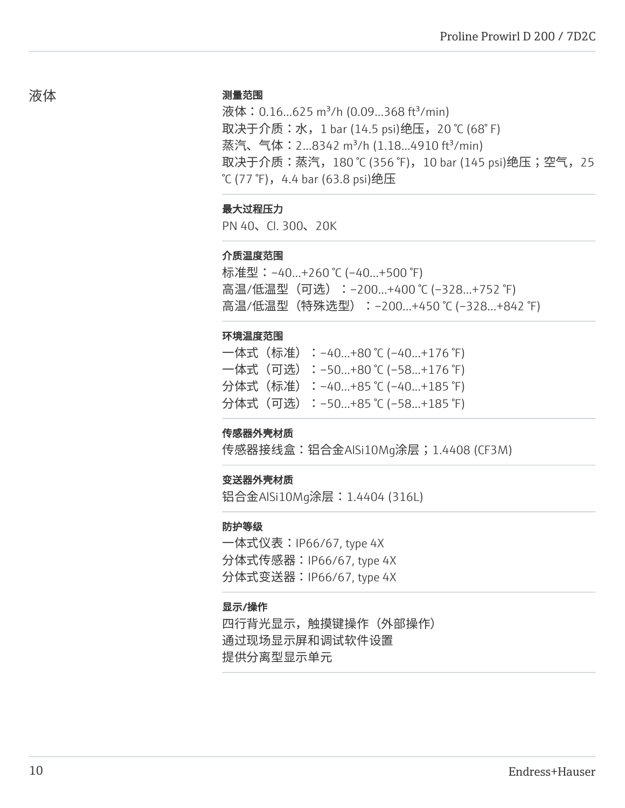#### 测量范围

液体: 0.16...625 m<sup>3</sup>/h (0.09...368 ft<sup>3</sup>/min) 取决于介质:水, 1 bar (14.5 psi)绝压, 20 ℃ (68° F) 蒸汽、气体: 2...8342 m<sup>3</sup>/h (1.18...4910 ft<sup>3</sup>/min) 取决于介质:蒸汽,180 ℃ (356 ℉),10 bar (145 psi)绝压;空气,25  $°C$  (77 °F), 4.4 bar (63.8 psi)绝压

## 最大过程压力

PN 40、Cl. 300、20K

#### 介质温度范围

标准型:–40...+260 ℃ (–40...+500 ℉) 高温/低温型(可选):–200…+400 ℃ (–328…+752 ℉) 高温/低温型(特殊选型):–200…+450 ℃ (–328…+842 ℉)

#### 环境温度范围

| 一体式(标准):-40+80 ℃ (-40+176 ℉)   |  |  |
|--------------------------------|--|--|
| 一体式(可选):–50…+80 ℃ (–58…+176 ℉) |  |  |
| 分体式(标准):-40+85 ℃ (-40+185 ℉)   |  |  |
| 分体式(可选):−50…+85 ℃ (−58…+185 ℉) |  |  |

#### 传感器外壳材质

传感器接线盒:铝合金AlSi10Mg涂层;1.4408 (CF3M)

#### 变送器外壳材质

铝合金AlSi10Mg涂层:1.4404 (316L)

#### 防护等级

一体式仪表:IP66/67, type 4X 分体式传感器:IP66/67, type 4X 分体式变送器:IP66/67, type 4X

#### 显示/操作

四行背光显示,触摸键操作(外部操作) 通过现场显示屏和调试软件设置 提供分离型显示单元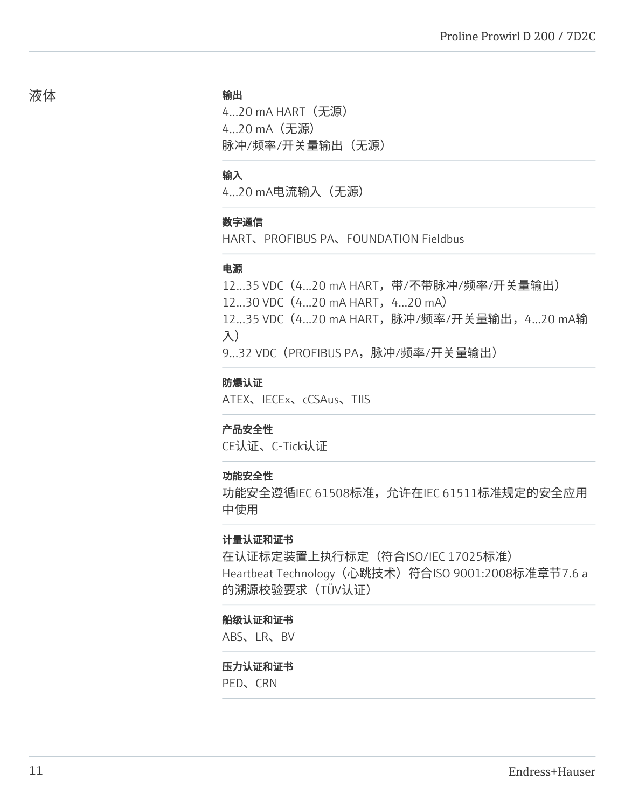#### 输出

4...20 mA HART(无源) 4...20 mA(无源) 脉冲/频率/开关量输出(无源)

### 输入

4...20 mA电流输入(无源)

## 数字通信

HART、PROFIBUS PA、FOUNDATION Fieldbus

## 电源

12...35 VDC (4...20 mA HART, 带/不带脉冲/频率/开关量输出)

12...30 VDC (4...20 mA HART, 4...20 mA)

12...35 VDC(4...20 mA HART,脉冲/频率/开关量输出,4...20 mA输 入)

9...32 VDC(PROFIBUS PA,脉冲/频率/开关量输出)

## 防爆认证

ATEX、IECEx、cCSAus、TIIS

## 产品安全性

CE认证、C-Tick认证

## 功能安全性

功能安全遵循IEC 61508标准,允许在IEC 61511标准规定的安全应用 中使用

# 计量认证和证书

在认证标定装置上执行标定(符合ISO/IEC 17025标准) Heartbeat Technology (心跳技术) 符合ISO 9001:2008标准章节7.6 a 的溯源校验要求(TÜV认证)

## 船级认证和证书

ABS、LR、BV

#### 压力认证和证书

PED、CRN